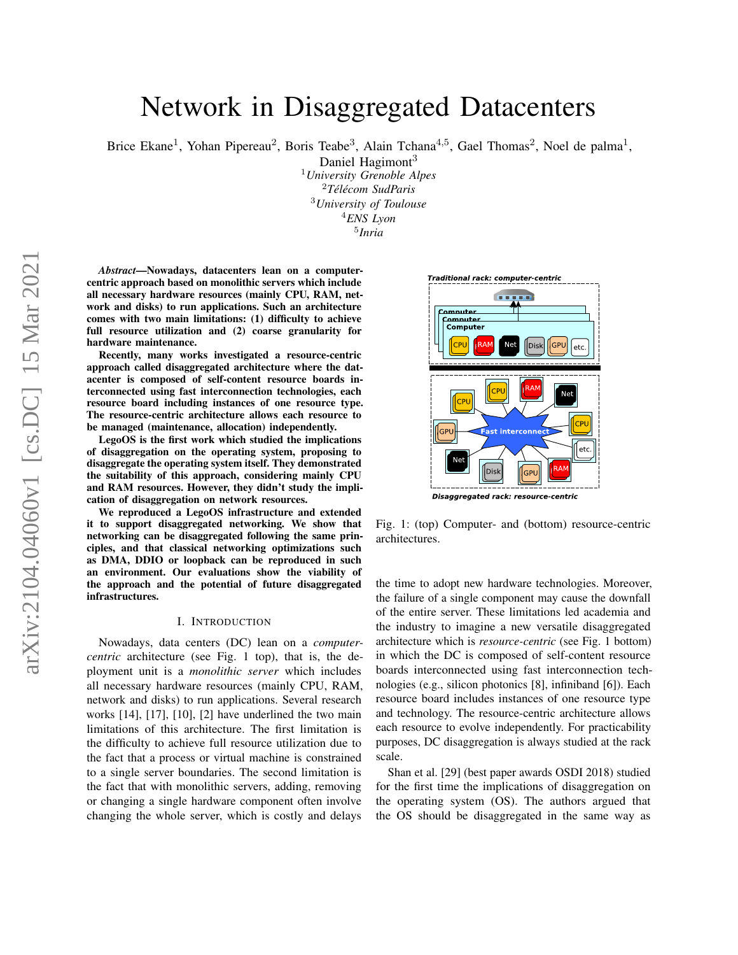# arXiv:2104.04060v1 [cs.DC] 15 Mar 2021 arXiv:2104.04060v1 [cs.DC] 15 Mar 2021

# Network in Disaggregated Datacenters

Brice Ekane<sup>1</sup>, Yohan Pipereau<sup>2</sup>, Boris Teabe<sup>3</sup>, Alain Tchana<sup>4,5</sup>, Gael Thomas<sup>2</sup>, Noel de palma<sup>1</sup>,

Daniel Hagimont<sup>3</sup> <sup>1</sup>*University Grenoble Alpes* <sup>2</sup>*Télécom SudParis* <sup>3</sup>*University of Toulouse* <sup>4</sup>*ENS Lyon* 5 *Inria*

*Abstract*—Nowadays, datacenters lean on a computercentric approach based on monolithic servers which include all necessary hardware resources (mainly CPU, RAM, network and disks) to run applications. Such an architecture comes with two main limitations: (1) difficulty to achieve full resource utilization and (2) coarse granularity for hardware maintenance.

Recently, many works investigated a resource-centric approach called disaggregated architecture where the datacenter is composed of self-content resource boards interconnected using fast interconnection technologies, each resource board including instances of one resource type. The resource-centric architecture allows each resource to be managed (maintenance, allocation) independently.

LegoOS is the first work which studied the implications of disaggregation on the operating system, proposing to disaggregate the operating system itself. They demonstrated the suitability of this approach, considering mainly CPU and RAM resources. However, they didn't study the implication of disaggregation on network resources.

We reproduced a LegoOS infrastructure and extended it to support disaggregated networking. We show that networking can be disaggregated following the same principles, and that classical networking optimizations such as DMA, DDIO or loopback can be reproduced in such an environment. Our evaluations show the viability of the approach and the potential of future disaggregated infrastructures.

#### I. INTRODUCTION

Nowadays, data centers (DC) lean on a *computercentric* architecture (see Fig. 1 top), that is, the deployment unit is a *monolithic server* which includes all necessary hardware resources (mainly CPU, RAM, network and disks) to run applications. Several research works [14], [17], [10], [2] have underlined the two main limitations of this architecture. The first limitation is the difficulty to achieve full resource utilization due to the fact that a process or virtual machine is constrained to a single server boundaries. The second limitation is the fact that with monolithic servers, adding, removing or changing a single hardware component often involve changing the whole server, which is costly and delays



Fig. 1: (top) Computer- and (bottom) resource-centric architectures.

the time to adopt new hardware technologies. Moreover, the failure of a single component may cause the downfall of the entire server. These limitations led academia and the industry to imagine a new versatile disaggregated architecture which is *resource-centric* (see Fig. 1 bottom) in which the DC is composed of self-content resource boards interconnected using fast interconnection technologies (e.g., silicon photonics [8], infiniband [6]). Each resource board includes instances of one resource type and technology. The resource-centric architecture allows each resource to evolve independently. For practicability purposes, DC disaggregation is always studied at the rack scale.

Shan et al. [29] (best paper awards OSDI 2018) studied for the first time the implications of disaggregation on the operating system (OS). The authors argued that the OS should be disaggregated in the same way as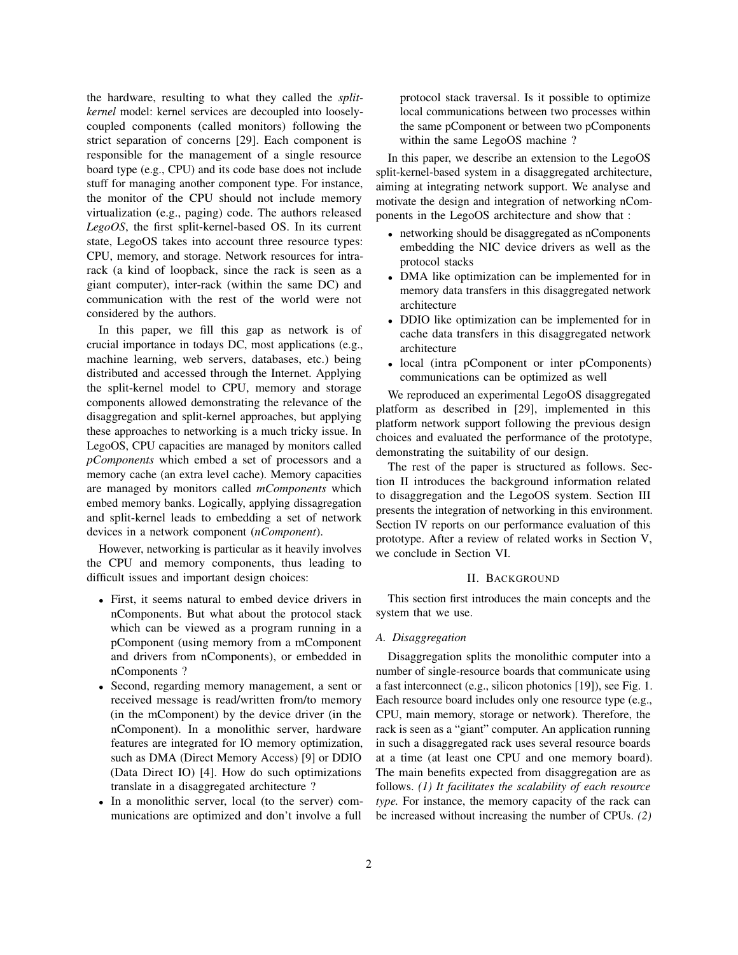the hardware, resulting to what they called the *splitkernel* model: kernel services are decoupled into looselycoupled components (called monitors) following the strict separation of concerns [29]. Each component is responsible for the management of a single resource board type (e.g., CPU) and its code base does not include stuff for managing another component type. For instance, the monitor of the CPU should not include memory virtualization (e.g., paging) code. The authors released *LegoOS*, the first split-kernel-based OS. In its current state, LegoOS takes into account three resource types: CPU, memory, and storage. Network resources for intrarack (a kind of loopback, since the rack is seen as a giant computer), inter-rack (within the same DC) and communication with the rest of the world were not considered by the authors.

In this paper, we fill this gap as network is of crucial importance in todays DC, most applications (e.g., machine learning, web servers, databases, etc.) being distributed and accessed through the Internet. Applying the split-kernel model to CPU, memory and storage components allowed demonstrating the relevance of the disaggregation and split-kernel approaches, but applying these approaches to networking is a much tricky issue. In LegoOS, CPU capacities are managed by monitors called *pComponents* which embed a set of processors and a memory cache (an extra level cache). Memory capacities are managed by monitors called *mComponents* which embed memory banks. Logically, applying dissagregation and split-kernel leads to embedding a set of network devices in a network component (*nComponent*).

However, networking is particular as it heavily involves the CPU and memory components, thus leading to difficult issues and important design choices:

- First, it seems natural to embed device drivers in nComponents. But what about the protocol stack which can be viewed as a program running in a pComponent (using memory from a mComponent and drivers from nComponents), or embedded in nComponents ?
- Second, regarding memory management, a sent or received message is read/written from/to memory (in the mComponent) by the device driver (in the nComponent). In a monolithic server, hardware features are integrated for IO memory optimization, such as DMA (Direct Memory Access) [9] or DDIO (Data Direct IO) [4]. How do such optimizations translate in a disaggregated architecture ?
- In a monolithic server, local (to the server) communications are optimized and don't involve a full

protocol stack traversal. Is it possible to optimize local communications between two processes within the same pComponent or between two pComponents within the same LegoOS machine ?

In this paper, we describe an extension to the LegoOS split-kernel-based system in a disaggregated architecture, aiming at integrating network support. We analyse and motivate the design and integration of networking nComponents in the LegoOS architecture and show that :

- networking should be disaggregated as nComponents embedding the NIC device drivers as well as the protocol stacks
- DMA like optimization can be implemented for in memory data transfers in this disaggregated network architecture
- DDIO like optimization can be implemented for in cache data transfers in this disaggregated network architecture
- local (intra pComponent or inter pComponents) communications can be optimized as well

We reproduced an experimental LegoOS disaggregated platform as described in [29], implemented in this platform network support following the previous design choices and evaluated the performance of the prototype, demonstrating the suitability of our design.

The rest of the paper is structured as follows. Section II introduces the background information related to disaggregation and the LegoOS system. Section III presents the integration of networking in this environment. Section IV reports on our performance evaluation of this prototype. After a review of related works in Section V, we conclude in Section VI.

#### II. BACKGROUND

This section first introduces the main concepts and the system that we use.

#### *A. Disaggregation*

Disaggregation splits the monolithic computer into a number of single-resource boards that communicate using a fast interconnect (e.g., silicon photonics [19]), see Fig. 1. Each resource board includes only one resource type (e.g., CPU, main memory, storage or network). Therefore, the rack is seen as a "giant" computer. An application running in such a disaggregated rack uses several resource boards at a time (at least one CPU and one memory board). The main benefits expected from disaggregation are as follows. *(1) It facilitates the scalability of each resource type.* For instance, the memory capacity of the rack can be increased without increasing the number of CPUs. *(2)*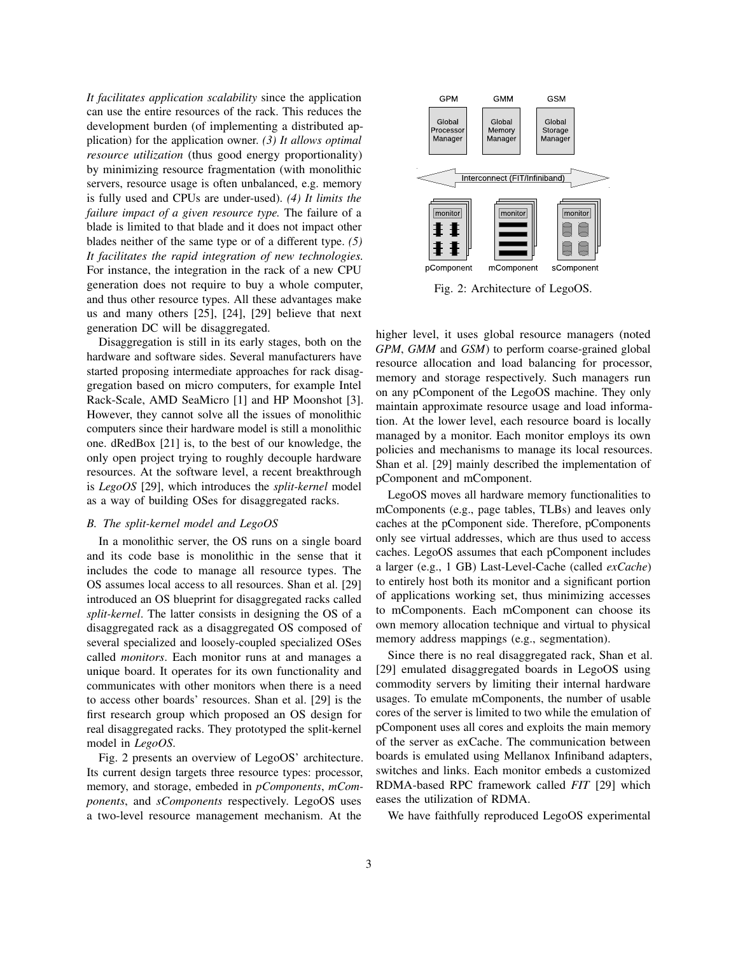*It facilitates application scalability* since the application can use the entire resources of the rack. This reduces the development burden (of implementing a distributed application) for the application owner. *(3) It allows optimal resource utilization* (thus good energy proportionality) by minimizing resource fragmentation (with monolithic servers, resource usage is often unbalanced, e.g. memory is fully used and CPUs are under-used). *(4) It limits the failure impact of a given resource type.* The failure of a blade is limited to that blade and it does not impact other blades neither of the same type or of a different type. *(5) It facilitates the rapid integration of new technologies.* For instance, the integration in the rack of a new CPU generation does not require to buy a whole computer, and thus other resource types. All these advantages make us and many others [25], [24], [29] believe that next generation DC will be disaggregated.

Disaggregation is still in its early stages, both on the hardware and software sides. Several manufacturers have started proposing intermediate approaches for rack disaggregation based on micro computers, for example Intel Rack-Scale, AMD SeaMicro [1] and HP Moonshot [3]. However, they cannot solve all the issues of monolithic computers since their hardware model is still a monolithic one. dRedBox [21] is, to the best of our knowledge, the only open project trying to roughly decouple hardware resources. At the software level, a recent breakthrough is *LegoOS* [29], which introduces the *split-kernel* model as a way of building OSes for disaggregated racks.

## *B. The split-kernel model and LegoOS*

In a monolithic server, the OS runs on a single board and its code base is monolithic in the sense that it includes the code to manage all resource types. The OS assumes local access to all resources. Shan et al. [29] introduced an OS blueprint for disaggregated racks called *split-kernel*. The latter consists in designing the OS of a disaggregated rack as a disaggregated OS composed of several specialized and loosely-coupled specialized OSes called *monitors*. Each monitor runs at and manages a unique board. It operates for its own functionality and communicates with other monitors when there is a need to access other boards' resources. Shan et al. [29] is the first research group which proposed an OS design for real disaggregated racks. They prototyped the split-kernel model in *LegoOS*.

Fig. 2 presents an overview of LegoOS' architecture. Its current design targets three resource types: processor, memory, and storage, embeded in *pComponents*, *mComponents*, and *sComponents* respectively. LegoOS uses a two-level resource management mechanism. At the



Fig. 2: Architecture of LegoOS.

higher level, it uses global resource managers (noted *GPM*, *GMM* and *GSM*) to perform coarse-grained global resource allocation and load balancing for processor, memory and storage respectively. Such managers run on any pComponent of the LegoOS machine. They only maintain approximate resource usage and load information. At the lower level, each resource board is locally managed by a monitor. Each monitor employs its own policies and mechanisms to manage its local resources. Shan et al. [29] mainly described the implementation of pComponent and mComponent.

LegoOS moves all hardware memory functionalities to mComponents (e.g., page tables, TLBs) and leaves only caches at the pComponent side. Therefore, pComponents only see virtual addresses, which are thus used to access caches. LegoOS assumes that each pComponent includes a larger (e.g., 1 GB) Last-Level-Cache (called *exCache*) to entirely host both its monitor and a significant portion of applications working set, thus minimizing accesses to mComponents. Each mComponent can choose its own memory allocation technique and virtual to physical memory address mappings (e.g., segmentation).

Since there is no real disaggregated rack, Shan et al. [29] emulated disaggregated boards in LegoOS using commodity servers by limiting their internal hardware usages. To emulate mComponents, the number of usable cores of the server is limited to two while the emulation of pComponent uses all cores and exploits the main memory of the server as exCache. The communication between boards is emulated using Mellanox Infiniband adapters, switches and links. Each monitor embeds a customized RDMA-based RPC framework called *FIT* [29] which eases the utilization of RDMA.

We have faithfully reproduced LegoOS experimental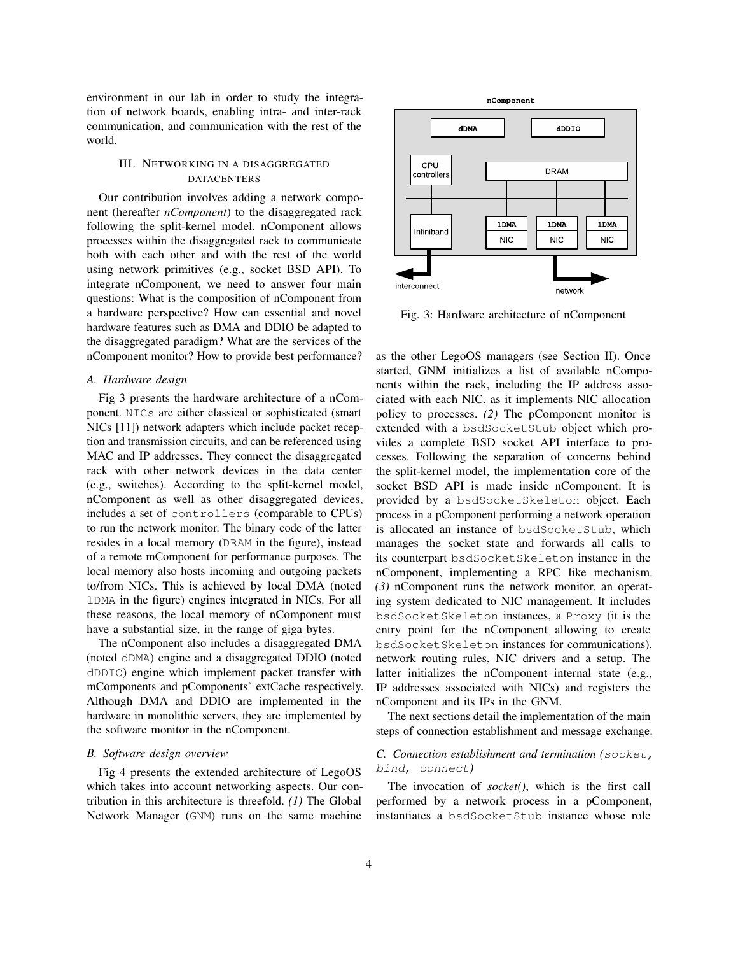environment in our lab in order to study the integration of network boards, enabling intra- and inter-rack communication, and communication with the rest of the world.

# III. NETWORKING IN A DISAGGREGATED **DATACENTERS**

Our contribution involves adding a network component (hereafter *nComponent*) to the disaggregated rack following the split-kernel model. nComponent allows processes within the disaggregated rack to communicate both with each other and with the rest of the world using network primitives (e.g., socket BSD API). To integrate nComponent, we need to answer four main questions: What is the composition of nComponent from a hardware perspective? How can essential and novel hardware features such as DMA and DDIO be adapted to the disaggregated paradigm? What are the services of the nComponent monitor? How to provide best performance?

# *A. Hardware design*

Fig 3 presents the hardware architecture of a nComponent. NICs are either classical or sophisticated (smart NICs [11]) network adapters which include packet reception and transmission circuits, and can be referenced using MAC and IP addresses. They connect the disaggregated rack with other network devices in the data center (e.g., switches). According to the split-kernel model, nComponent as well as other disaggregated devices, includes a set of controllers (comparable to CPUs) to run the network monitor. The binary code of the latter resides in a local memory (DRAM in the figure), instead of a remote mComponent for performance purposes. The local memory also hosts incoming and outgoing packets to/from NICs. This is achieved by local DMA (noted lDMA in the figure) engines integrated in NICs. For all these reasons, the local memory of nComponent must have a substantial size, in the range of giga bytes.

The nComponent also includes a disaggregated DMA (noted dDMA) engine and a disaggregated DDIO (noted dDDIO) engine which implement packet transfer with mComponents and pComponents' extCache respectively. Although DMA and DDIO are implemented in the hardware in monolithic servers, they are implemented by the software monitor in the nComponent.

# *B. Software design overview*

Fig 4 presents the extended architecture of LegoOS which takes into account networking aspects. Our contribution in this architecture is threefold. *(1)* The Global Network Manager (GNM) runs on the same machine



Fig. 3: Hardware architecture of nComponent

as the other LegoOS managers (see Section II). Once started, GNM initializes a list of available nComponents within the rack, including the IP address associated with each NIC, as it implements NIC allocation policy to processes. *(2)* The pComponent monitor is extended with a bsdSocketStub object which provides a complete BSD socket API interface to processes. Following the separation of concerns behind the split-kernel model, the implementation core of the socket BSD API is made inside nComponent. It is provided by a bsdSocketSkeleton object. Each process in a pComponent performing a network operation is allocated an instance of bsdSocketStub, which manages the socket state and forwards all calls to its counterpart bsdSocketSkeleton instance in the nComponent, implementing a RPC like mechanism. *(3)* nComponent runs the network monitor, an operating system dedicated to NIC management. It includes bsdSocketSkeleton instances, a Proxy (it is the entry point for the nComponent allowing to create bsdSocketSkeleton instances for communications), network routing rules, NIC drivers and a setup. The latter initializes the nComponent internal state (e.g., IP addresses associated with NICs) and registers the nComponent and its IPs in the GNM.

The next sections detail the implementation of the main steps of connection establishment and message exchange.

# *C. Connection establishment and termination (*socket, bind, connect*)*

The invocation of *socket()*, which is the first call performed by a network process in a pComponent, instantiates a bsdSocketStub instance whose role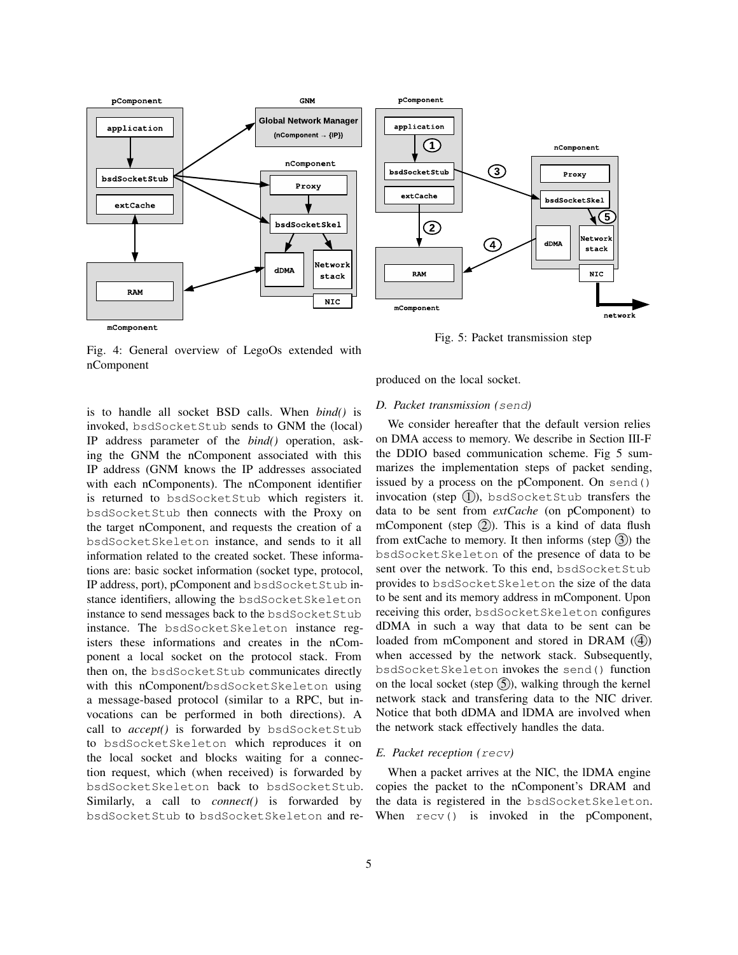



Fig. 5: Packet transmission step

Fig. 4: General overview of LegoOs extended with nComponent

is to handle all socket BSD calls. When *bind()* is invoked, bsdSocketStub sends to GNM the (local) IP address parameter of the *bind()* operation, asking the GNM the nComponent associated with this IP address (GNM knows the IP addresses associated with each nComponents). The nComponent identifier is returned to bsdSocketStub which registers it. bsdSocketStub then connects with the Proxy on the target nComponent, and requests the creation of a bsdSocketSkeleton instance, and sends to it all information related to the created socket. These informations are: basic socket information (socket type, protocol, IP address, port), pComponent and bsdSocketStub instance identifiers, allowing the bsdSocketSkeleton instance to send messages back to the bsdSocketStub instance. The bsdSocketSkeleton instance registers these informations and creates in the nComponent a local socket on the protocol stack. From then on, the bsdSocketStub communicates directly with this nComponent/bsdSocketSkeleton using a message-based protocol (similar to a RPC, but invocations can be performed in both directions). A call to *accept()* is forwarded by bsdSocketStub to bsdSocketSkeleton which reproduces it on the local socket and blocks waiting for a connection request, which (when received) is forwarded by bsdSocketSkeleton back to bsdSocketStub. Similarly, a call to *connect()* is forwarded by bsdSocketStub to bsdSocketSkeleton and re-

# produced on the local socket.

# *D. Packet transmission (*send*)*

We consider hereafter that the default version relies on DMA access to memory. We describe in Section III-F the DDIO based communication scheme. Fig 5 summarizes the implementation steps of packet sending, issued by a process on the pComponent. On send() invocation (step  $(1)$ ), bsdSocketStub transfers the data to be sent from *extCache* (on pComponent) to mComponent (step  $(2)$ ). This is a kind of data flush from extCache to memory. It then informs (step  $(3)$ ) the bsdSocketSkeleton of the presence of data to be sent over the network. To this end, bsdSocketStub provides to bsdSocketSkeleton the size of the data to be sent and its memory address in mComponent. Upon receiving this order, bsdSocketSkeleton configures dDMA in such a way that data to be sent can be loaded from mComponent and stored in DRAM  $(4)$ when accessed by the network stack. Subsequently, bsdSocketSkeleton invokes the send() function on the local socket (step  $(5)$ ), walking through the kernel network stack and transfering data to the NIC driver. Notice that both dDMA and lDMA are involved when the network stack effectively handles the data.

#### *E. Packet reception (*recv*)*

When a packet arrives at the NIC, the lDMA engine copies the packet to the nComponent's DRAM and the data is registered in the bsdSocketSkeleton. When  $\text{recv}()$  is invoked in the pComponent,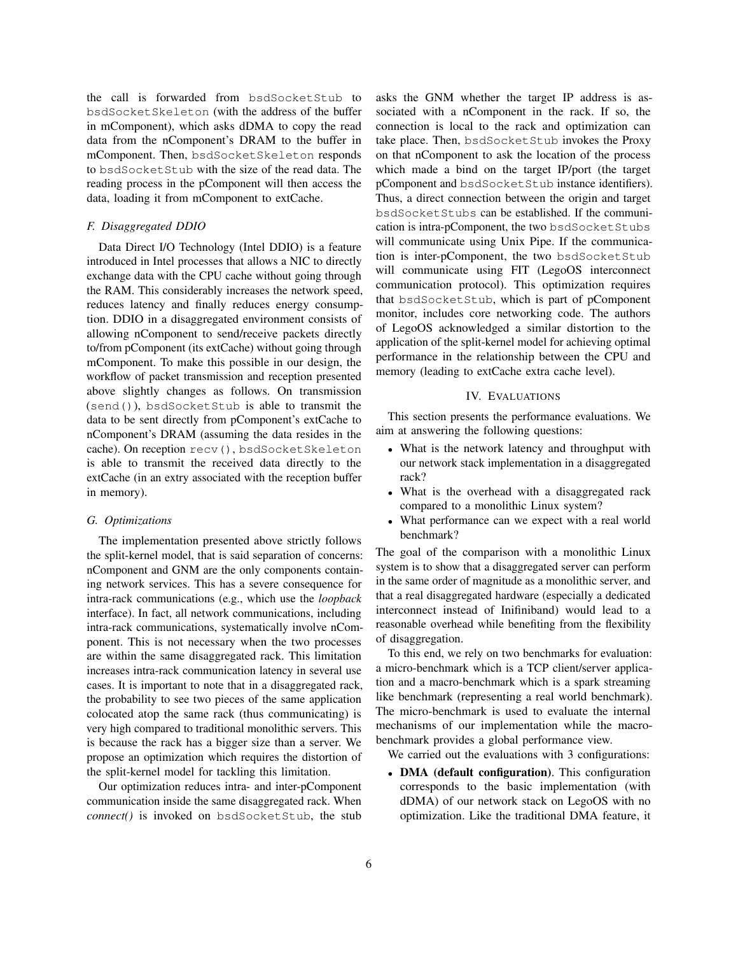the call is forwarded from bsdSocketStub to bsdSocketSkeleton (with the address of the buffer in mComponent), which asks dDMA to copy the read data from the nComponent's DRAM to the buffer in mComponent. Then, bsdSocketSkeleton responds to bsdSocketStub with the size of the read data. The reading process in the pComponent will then access the data, loading it from mComponent to extCache.

# *F. Disaggregated DDIO*

Data Direct I/O Technology (Intel DDIO) is a feature introduced in Intel processes that allows a NIC to directly exchange data with the CPU cache without going through the RAM. This considerably increases the network speed, reduces latency and finally reduces energy consumption. DDIO in a disaggregated environment consists of allowing nComponent to send/receive packets directly to/from pComponent (its extCache) without going through mComponent. To make this possible in our design, the workflow of packet transmission and reception presented above slightly changes as follows. On transmission (send()), bsdSocketStub is able to transmit the data to be sent directly from pComponent's extCache to nComponent's DRAM (assuming the data resides in the cache). On reception recv(), bsdSocketSkeleton is able to transmit the received data directly to the extCache (in an extry associated with the reception buffer in memory).

#### *G. Optimizations*

The implementation presented above strictly follows the split-kernel model, that is said separation of concerns: nComponent and GNM are the only components containing network services. This has a severe consequence for intra-rack communications (e.g., which use the *loopback* interface). In fact, all network communications, including intra-rack communications, systematically involve nComponent. This is not necessary when the two processes are within the same disaggregated rack. This limitation increases intra-rack communication latency in several use cases. It is important to note that in a disaggregated rack, the probability to see two pieces of the same application colocated atop the same rack (thus communicating) is very high compared to traditional monolithic servers. This is because the rack has a bigger size than a server. We propose an optimization which requires the distortion of the split-kernel model for tackling this limitation.

Our optimization reduces intra- and inter-pComponent communication inside the same disaggregated rack. When *connect()* is invoked on bsdSocketStub, the stub

asks the GNM whether the target IP address is associated with a nComponent in the rack. If so, the connection is local to the rack and optimization can take place. Then, bsdSocketStub invokes the Proxy on that nComponent to ask the location of the process which made a bind on the target IP/port (the target pComponent and bsdSocketStub instance identifiers). Thus, a direct connection between the origin and target bsdSocketStubs can be established. If the communication is intra-pComponent, the two bsdSocketStubs will communicate using Unix Pipe. If the communication is inter-pComponent, the two bsdSocketStub will communicate using FIT (LegoOS interconnect communication protocol). This optimization requires that bsdSocketStub, which is part of pComponent monitor, includes core networking code. The authors of LegoOS acknowledged a similar distortion to the application of the split-kernel model for achieving optimal performance in the relationship between the CPU and memory (leading to extCache extra cache level).

## IV. EVALUATIONS

This section presents the performance evaluations. We aim at answering the following questions:

- What is the network latency and throughput with our network stack implementation in a disaggregated rack?
- What is the overhead with a disaggregated rack compared to a monolithic Linux system?
- What performance can we expect with a real world benchmark?

The goal of the comparison with a monolithic Linux system is to show that a disaggregated server can perform in the same order of magnitude as a monolithic server, and that a real disaggregated hardware (especially a dedicated interconnect instead of Inifiniband) would lead to a reasonable overhead while benefiting from the flexibility of disaggregation.

To this end, we rely on two benchmarks for evaluation: a micro-benchmark which is a TCP client/server application and a macro-benchmark which is a spark streaming like benchmark (representing a real world benchmark). The micro-benchmark is used to evaluate the internal mechanisms of our implementation while the macrobenchmark provides a global performance view.

We carried out the evaluations with 3 configurations:

• DMA (default configuration). This configuration corresponds to the basic implementation (with dDMA) of our network stack on LegoOS with no optimization. Like the traditional DMA feature, it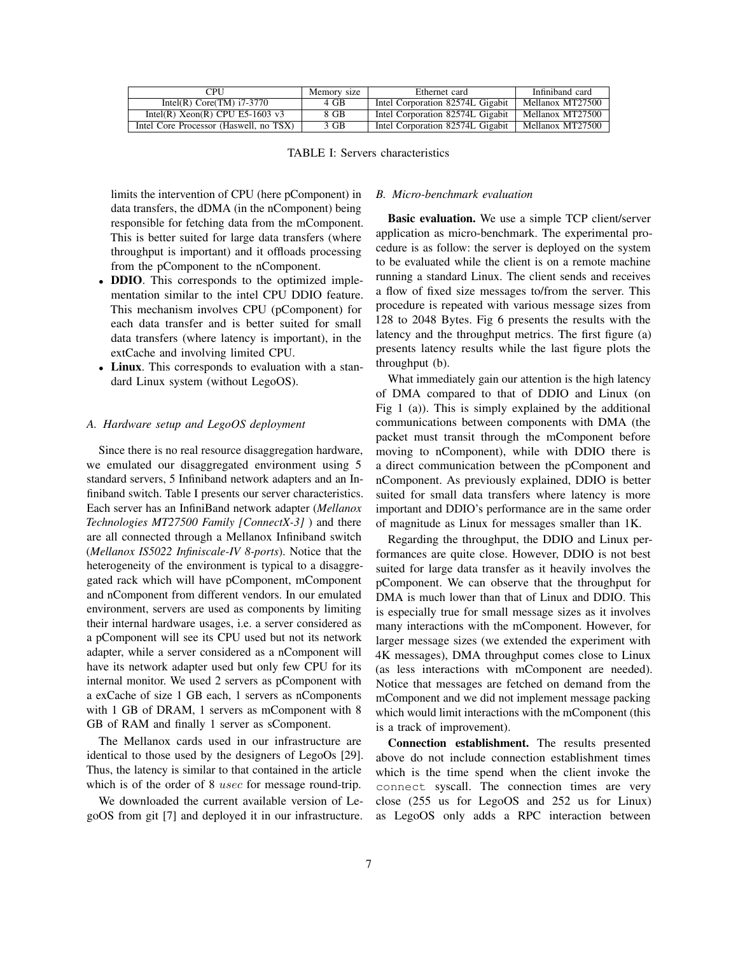| CPU                                    | Memory size | Ethernet card                    | Infiniband card  |
|----------------------------------------|-------------|----------------------------------|------------------|
| Intel(R) Core $(TM)$ i7-3770           | 4 GB        | Intel Corporation 82574L Gigabit | Mellanox MT27500 |
| Intel(R) $Xeon(R) CPU E5-1603 v3$      | 8 GB        | Intel Corporation 82574L Gigabit | Mellanox MT27500 |
| Intel Core Processor (Haswell, no TSX) | 3 GB        | Intel Corporation 82574L Gigabit | Mellanox MT27500 |

TABLE I: Servers characteristics

limits the intervention of CPU (here pComponent) in data transfers, the dDMA (in the nComponent) being responsible for fetching data from the mComponent. This is better suited for large data transfers (where throughput is important) and it offloads processing from the pComponent to the nComponent.

- **DDIO**. This corresponds to the optimized implementation similar to the intel CPU DDIO feature. This mechanism involves CPU (pComponent) for each data transfer and is better suited for small data transfers (where latency is important), in the extCache and involving limited CPU.
- Linux. This corresponds to evaluation with a standard Linux system (without LegoOS).

## *A. Hardware setup and LegoOS deployment*

Since there is no real resource disaggregation hardware, we emulated our disaggregated environment using 5 standard servers, 5 Infiniband network adapters and an Infiniband switch. Table I presents our server characteristics. Each server has an InfiniBand network adapter (*Mellanox Technologies MT27500 Family [ConnectX-3]* ) and there are all connected through a Mellanox Infiniband switch (*Mellanox IS5022 Infiniscale-IV 8-ports*). Notice that the heterogeneity of the environment is typical to a disaggregated rack which will have pComponent, mComponent and nComponent from different vendors. In our emulated environment, servers are used as components by limiting their internal hardware usages, i.e. a server considered as a pComponent will see its CPU used but not its network adapter, while a server considered as a nComponent will have its network adapter used but only few CPU for its internal monitor. We used 2 servers as pComponent with a exCache of size 1 GB each, 1 servers as nComponents with 1 GB of DRAM, 1 servers as mComponent with 8 GB of RAM and finally 1 server as sComponent.

The Mellanox cards used in our infrastructure are identical to those used by the designers of LegoOs [29]. Thus, the latency is similar to that contained in the article which is of the order of 8 *usec* for message round-trip.

We downloaded the current available version of LegoOS from git [7] and deployed it in our infrastructure.

# *B. Micro-benchmark evaluation*

Basic evaluation. We use a simple TCP client/server application as micro-benchmark. The experimental procedure is as follow: the server is deployed on the system to be evaluated while the client is on a remote machine running a standard Linux. The client sends and receives a flow of fixed size messages to/from the server. This procedure is repeated with various message sizes from 128 to 2048 Bytes. Fig 6 presents the results with the latency and the throughput metrics. The first figure (a) presents latency results while the last figure plots the throughput (b).

What immediately gain our attention is the high latency of DMA compared to that of DDIO and Linux (on Fig 1 (a)). This is simply explained by the additional communications between components with DMA (the packet must transit through the mComponent before moving to nComponent), while with DDIO there is a direct communication between the pComponent and nComponent. As previously explained, DDIO is better suited for small data transfers where latency is more important and DDIO's performance are in the same order of magnitude as Linux for messages smaller than 1K.

Regarding the throughput, the DDIO and Linux performances are quite close. However, DDIO is not best suited for large data transfer as it heavily involves the pComponent. We can observe that the throughput for DMA is much lower than that of Linux and DDIO. This is especially true for small message sizes as it involves many interactions with the mComponent. However, for larger message sizes (we extended the experiment with 4K messages), DMA throughput comes close to Linux (as less interactions with mComponent are needed). Notice that messages are fetched on demand from the mComponent and we did not implement message packing which would limit interactions with the mComponent (this is a track of improvement).

Connection establishment. The results presented above do not include connection establishment times which is the time spend when the client invoke the connect syscall. The connection times are very close (255 us for LegoOS and 252 us for Linux) as LegoOS only adds a RPC interaction between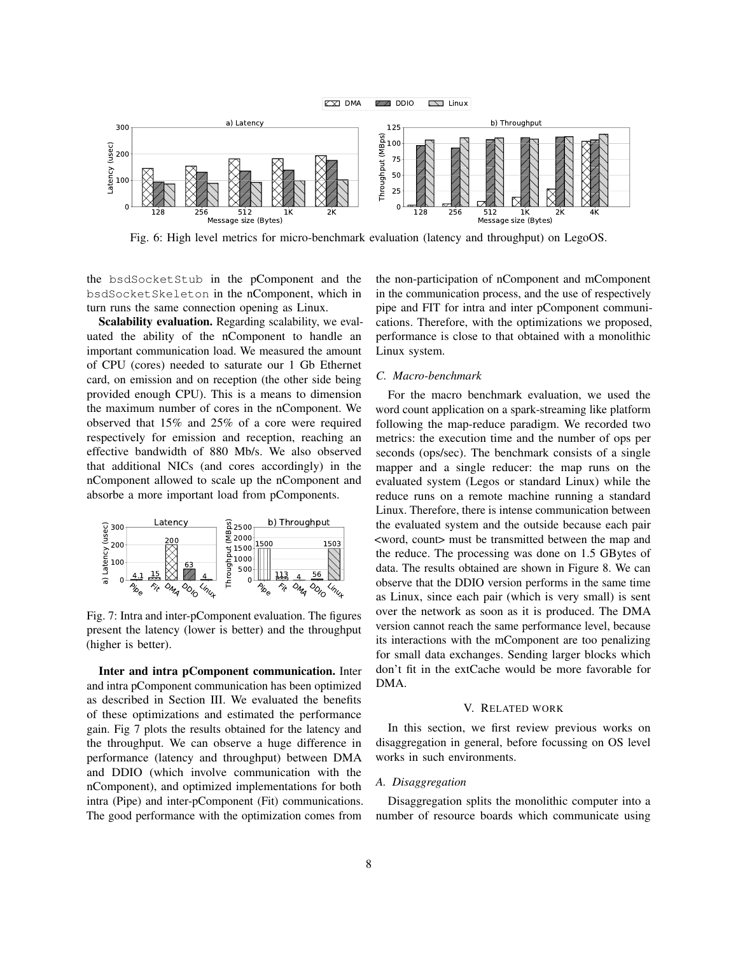

Fig. 6: High level metrics for micro-benchmark evaluation (latency and throughput) on LegoOS.

the bsdSocketStub in the pComponent and the bsdSocketSkeleton in the nComponent, which in turn runs the same connection opening as Linux.

Scalability evaluation. Regarding scalability, we evaluated the ability of the nComponent to handle an important communication load. We measured the amount of CPU (cores) needed to saturate our 1 Gb Ethernet card, on emission and on reception (the other side being provided enough CPU). This is a means to dimension the maximum number of cores in the nComponent. We observed that 15% and 25% of a core were required respectively for emission and reception, reaching an effective bandwidth of 880 Mb/s. We also observed that additional NICs (and cores accordingly) in the nComponent allowed to scale up the nComponent and absorbe a more important load from pComponents.



Fig. 7: Intra and inter-pComponent evaluation. The figures present the latency (lower is better) and the throughput (higher is better).

Inter and intra pComponent communication. Inter and intra pComponent communication has been optimized as described in Section III. We evaluated the benefits of these optimizations and estimated the performance gain. Fig 7 plots the results obtained for the latency and the throughput. We can observe a huge difference in performance (latency and throughput) between DMA and DDIO (which involve communication with the nComponent), and optimized implementations for both intra (Pipe) and inter-pComponent (Fit) communications. The good performance with the optimization comes from

the non-participation of nComponent and mComponent in the communication process, and the use of respectively pipe and FIT for intra and inter pComponent communications. Therefore, with the optimizations we proposed, performance is close to that obtained with a monolithic Linux system.

#### *C. Macro-benchmark*

For the macro benchmark evaluation, we used the word count application on a spark-streaming like platform following the map-reduce paradigm. We recorded two metrics: the execution time and the number of ops per seconds (ops/sec). The benchmark consists of a single mapper and a single reducer: the map runs on the evaluated system (Legos or standard Linux) while the reduce runs on a remote machine running a standard Linux. Therefore, there is intense communication between the evaluated system and the outside because each pair <word, count> must be transmitted between the map and the reduce. The processing was done on 1.5 GBytes of data. The results obtained are shown in Figure 8. We can observe that the DDIO version performs in the same time as Linux, since each pair (which is very small) is sent over the network as soon as it is produced. The DMA version cannot reach the same performance level, because its interactions with the mComponent are too penalizing for small data exchanges. Sending larger blocks which don't fit in the extCache would be more favorable for DMA.

#### V. RELATED WORK

In this section, we first review previous works on disaggregation in general, before focussing on OS level works in such environments.

#### *A. Disaggregation*

Disaggregation splits the monolithic computer into a number of resource boards which communicate using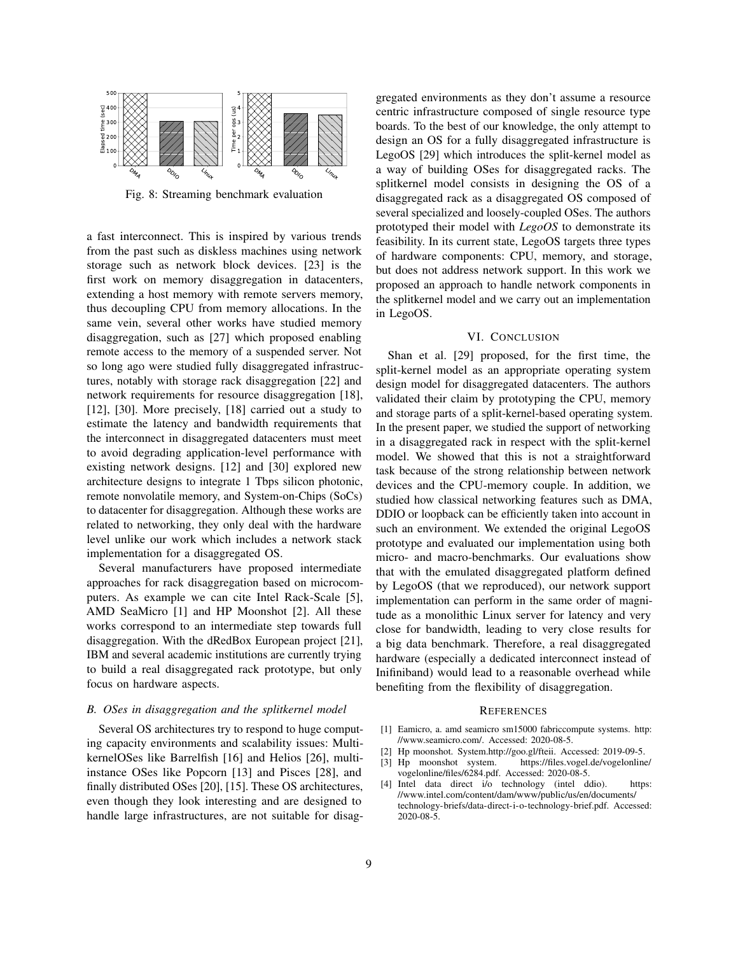

Fig. 8: Streaming benchmark evaluation

a fast interconnect. This is inspired by various trends from the past such as diskless machines using network storage such as network block devices. [23] is the first work on memory disaggregation in datacenters, extending a host memory with remote servers memory, thus decoupling CPU from memory allocations. In the same vein, several other works have studied memory disaggregation, such as [27] which proposed enabling remote access to the memory of a suspended server. Not so long ago were studied fully disaggregated infrastructures, notably with storage rack disaggregation [22] and network requirements for resource disaggregation [18], [12], [30]. More precisely, [18] carried out a study to estimate the latency and bandwidth requirements that the interconnect in disaggregated datacenters must meet to avoid degrading application-level performance with existing network designs. [12] and [30] explored new architecture designs to integrate 1 Tbps silicon photonic, remote nonvolatile memory, and System-on-Chips (SoCs) to datacenter for disaggregation. Although these works are related to networking, they only deal with the hardware level unlike our work which includes a network stack implementation for a disaggregated OS.

Several manufacturers have proposed intermediate approaches for rack disaggregation based on microcomputers. As example we can cite Intel Rack-Scale [5], AMD SeaMicro [1] and HP Moonshot [2]. All these works correspond to an intermediate step towards full disaggregation. With the dRedBox European project [21], IBM and several academic institutions are currently trying to build a real disaggregated rack prototype, but only focus on hardware aspects.

# *B. OSes in disaggregation and the splitkernel model*

Several OS architectures try to respond to huge computing capacity environments and scalability issues: MultikernelOSes like Barrelfish [16] and Helios [26], multiinstance OSes like Popcorn [13] and Pisces [28], and finally distributed OSes [20], [15]. These OS architectures, even though they look interesting and are designed to handle large infrastructures, are not suitable for disag-

gregated environments as they don't assume a resource centric infrastructure composed of single resource type boards. To the best of our knowledge, the only attempt to design an OS for a fully disaggregated infrastructure is LegoOS [29] which introduces the split-kernel model as a way of building OSes for disaggregated racks. The splitkernel model consists in designing the OS of a disaggregated rack as a disaggregated OS composed of several specialized and loosely-coupled OSes. The authors prototyped their model with *LegoOS* to demonstrate its feasibility. In its current state, LegoOS targets three types of hardware components: CPU, memory, and storage, but does not address network support. In this work we proposed an approach to handle network components in the splitkernel model and we carry out an implementation in LegoOS.

# VI. CONCLUSION

Shan et al. [29] proposed, for the first time, the split-kernel model as an appropriate operating system design model for disaggregated datacenters. The authors validated their claim by prototyping the CPU, memory and storage parts of a split-kernel-based operating system. In the present paper, we studied the support of networking in a disaggregated rack in respect with the split-kernel model. We showed that this is not a straightforward task because of the strong relationship between network devices and the CPU-memory couple. In addition, we studied how classical networking features such as DMA, DDIO or loopback can be efficiently taken into account in such an environment. We extended the original LegoOS prototype and evaluated our implementation using both micro- and macro-benchmarks. Our evaluations show that with the emulated disaggregated platform defined by LegoOS (that we reproduced), our network support implementation can perform in the same order of magnitude as a monolithic Linux server for latency and very close for bandwidth, leading to very close results for a big data benchmark. Therefore, a real disaggregated hardware (especially a dedicated interconnect instead of Inifiniband) would lead to a reasonable overhead while benefiting from the flexibility of disaggregation.

#### **REFERENCES**

- [1] Eamicro, a. amd seamicro sm15000 fabriccompute systems. http: //www.seamicro.com/. Accessed: 2020-08-5.
- [2] Hp moonshot. System.http://goo.gl/fteii. Accessed: 2019-09-5.
- [3] Hp moonshot system. https://files.vogel.de/vogelonline/ vogelonline/files/6284.pdf. Accessed: 2020-08-5.
- [4] Intel data direct i/o technology (intel ddio). https: //www.intel.com/content/dam/www/public/us/en/documents/ technology-briefs/data-direct-i-o-technology-brief.pdf. Accessed: 2020-08-5.